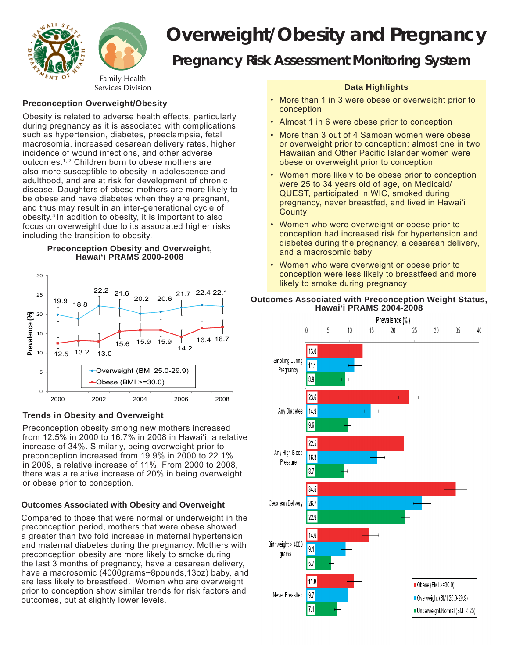

# *Overweight/Obesity and Pregnancy Pregnancy Risk Assessment Monitoring System*

# **Preconception Overweight/Obesity**

Obesity is related to adverse health effects, particularly during pregnancy as it is associated with complications such as hypertension, diabetes, preeclampsia, fetal macrosomia, increased cesarean delivery rates, higher incidence of wound infections, and other adverse outcomes.1, 2 Children born to obese mothers are also more susceptible to obesity in adolescence and adulthood, and are at risk for development of chronic disease. Daughters of obese mothers are more likely to be obese and have diabetes when they are pregnant, and thus may result in an inter-generational cycle of obesity.3 In addition to obesity, it is important to also focus on overweight due to its associated higher risks including the transition to obesity.

#### **Preconception Obesity and Overweight, Hawai'i PRAMS 2000-2008**



## **Trends in Obesity and Overweight**

Preconception obesity among new mothers increased from 12.5% in 2000 to 16.7% in 2008 in Hawai'i, a relative increase of 34%. Similarly, being overweight prior to preconception increased from 19.9% in 2000 to 22.1% in 2008, a relative increase of 11%. From 2000 to 2008, there was a relative increase of 20% in being overweight or obese prior to conception.

## **Outcomes Associated with Obesity and Overweight**

Compared to those that were normal or underweight in the preconception period, mothers that were obese showed a greater than two fold increase in maternal hypertension and maternal diabetes during the pregnancy. Mothers with preconception obesity are more likely to smoke during the last 3 months of pregnancy, have a cesarean delivery, have a macrosomic (4000grams~8pounds,13oz) baby, and are less likely to breastfeed. Women who are overweight prior to conception show similar trends for risk factors and outcomes, but at slightly lower levels.

## **Data Highlights**

- More than 1 in 3 were obese or overweight prior to conception
- Almost 1 in 6 were obese prior to conception
- More than 3 out of 4 Samoan women were obese or overweight prior to conception; almost one in two Hawaiian and Other Pacific Islander women were obese or overweight prior to conception
- Women more likely to be obese prior to conception were 25 to 34 years old of age, on Medicaid/ QUEST, participated in WIC, smoked during pregnancy, never breastfed, and lived in Hawai'i **County**
- Women who were overweight or obese prior to conception had increased risk for hypertension and diabetes during the pregnancy, a cesarean delivery, and a macrosomic baby
- Women who were overweight or obese prior to conception were less likely to breastfeed and more likely to smoke during pregnancy

## **Outcomes Associated with Preconception Weight Status, Hawai'i PRAMS 2004-2008**